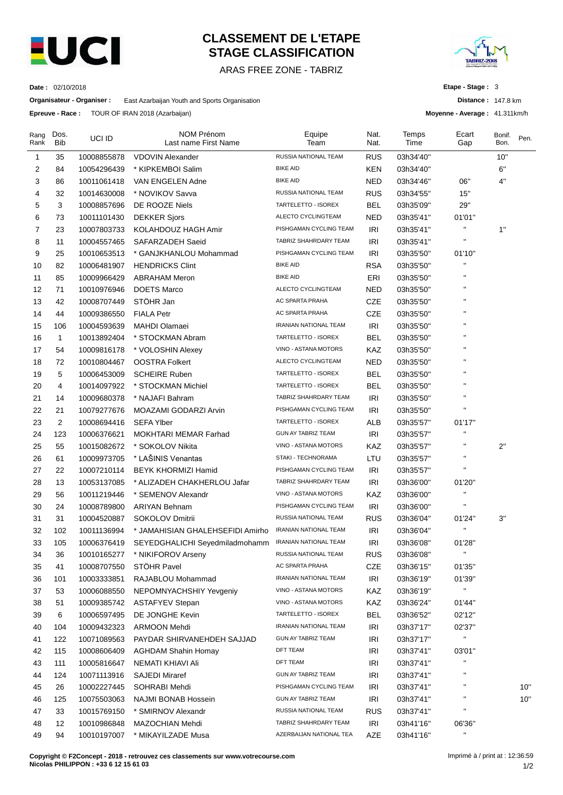

# **CLASSEMENT DE L'ETAPE STAGE CLASSIFICATION**

ARAS FREE ZONE - TABRIZ



**Distance :** 147.8 km **Moyenne - Average :** 41.311km/h

**Etape - Stage :** 3

**Date :** 02/10/2018

**Organisateur - Organiser :** East Azarbaijan Youth and Sports Organisation

**Epreuve - Race :** TOUR OF IRAN 2018 (Azarbaijan)

| Rang<br>Rank | Dos.<br><b>Bib</b> | UCI ID      | <b>NOM Prénom</b><br>Last name First Name | Equipe<br>Team               | Nat.<br>Nat.      | Temps<br>Time | Ecart<br>Gap       | Bonif.<br>Bon. | Pen. |
|--------------|--------------------|-------------|-------------------------------------------|------------------------------|-------------------|---------------|--------------------|----------------|------|
| $\mathbf{1}$ | 35                 | 10008855878 | <b>VDOVIN Alexander</b>                   | RUSSIA NATIONAL TEAM         | <b>RUS</b>        | 03h34'40"     |                    | 10"            |      |
| 2            | 84                 | 10054296439 | * KIPKEMBOI Salim                         | <b>BIKE AID</b>              | KEN               | 03h34'40"     |                    | 6"             |      |
| 3            | 86                 | 10011061418 | VAN ENGELEN Adne                          | <b>BIKE AID</b>              | NED               | 03h34'46"     | 06"                | 4"             |      |
| 4            | 32                 | 10014630008 | * NOVIKOV Savva                           | RUSSIA NATIONAL TEAM         | <b>RUS</b>        | 03h34'55"     | 15"                |                |      |
| 5            | 3                  | 10008857696 | DE ROOZE Niels                            | TARTELETTO - ISOREX          | <b>BEL</b>        | 03h35'09"     | 29"                |                |      |
| 6            | 73                 | 10011101430 | <b>DEKKER Sjors</b>                       | ALECTO CYCLINGTEAM           | <b>NED</b>        | 03h35'41"     | 01'01"             |                |      |
| 7            | 23                 | 10007803733 | KOLAHDOUZ HAGH Amir                       | PISHGAMAN CYCLING TEAM       | <b>IRI</b>        | 03h35'41"     | н                  | 1"             |      |
| 8            | 11                 | 10004557465 | SAFARZADEH Saeid                          | TABRIZ SHAHRDARY TEAM        | IRI               | 03h35'41"     | $\blacksquare$     |                |      |
| 9            | 25                 | 10010653513 | * GANJKHANLOU Mohammad                    | PISHGAMAN CYCLING TEAM       | IRI               | 03h35'50"     | 01'10"             |                |      |
| 10           | 82                 | 10006481907 | <b>HENDRICKS Clint</b>                    | <b>BIKE AID</b>              | <b>RSA</b>        | 03h35'50"     | П                  |                |      |
| 11           | 85                 | 10009966429 | <b>ABRAHAM Meron</b>                      | <b>BIKE AID</b>              | ERI               | 03h35'50"     |                    |                |      |
| 12           | 71                 | 10010976946 | <b>DOETS Marco</b>                        | ALECTO CYCLINGTEAM           | NED               | 03h35'50"     |                    |                |      |
| 13           | 42                 | 10008707449 | STÖHR Jan                                 | AC SPARTA PRAHA              | CZE               | 03h35'50"     |                    |                |      |
| 14           | 44                 | 10009386550 | <b>FIALA Petr</b>                         | <b>AC SPARTA PRAHA</b>       | CZE               | 03h35'50"     | п                  |                |      |
| 15           | 106                | 10004593639 | <b>MAHDI Olamaei</b>                      | <b>IRANIAN NATIONAL TEAM</b> | <b>IRI</b>        | 03h35'50"     | н                  |                |      |
| 16           | $\mathbf{1}$       | 10013892404 | * STOCKMAN Abram                          | TARTELETTO - ISOREX          | <b>BEL</b>        | 03h35'50"     |                    |                |      |
| 17           | 54                 | 10009816178 | * VOLOSHIN Alexey                         | VINO - ASTANA MOTORS         | KAZ               | 03h35'50"     |                    |                |      |
| 18           | 72                 | 10010804467 | <b>OOSTRA Folkert</b>                     | ALECTO CYCLINGTEAM           | <b>NED</b>        | 03h35'50"     |                    |                |      |
| 19           | 5                  | 10006453009 | <b>SCHEIRE Ruben</b>                      | TARTELETTO - ISOREX          | <b>BEL</b>        | 03h35'50"     |                    |                |      |
| 20           | 4                  | 10014097922 | * STOCKMAN Michiel                        | TARTELETTO - ISOREX          | <b>BEL</b>        | 03h35'50"     | п                  |                |      |
| 21           | 14                 | 10009680378 | * NAJAFI Bahram                           | TABRIZ SHAHRDARY TEAM        | IRI               | 03h35'50"     | $\blacksquare$     |                |      |
| 22           | 21                 | 10079277676 | MOAZAMI GODARZI Arvin                     | PISHGAMAN CYCLING TEAM       | IRI               | 03h35'50"     | $\blacksquare$     |                |      |
| 23           | $\overline{c}$     | 10008694416 | <b>SEFA Ylber</b>                         | TARTELETTO - ISOREX          | <b>ALB</b>        | 03h35'57"     | 01'17"             |                |      |
| 24           | 123                | 10006376621 | <b>MOKHTARI MEMAR Farhad</b>              | <b>GUN AY TABRIZ TEAM</b>    | <b>IRI</b>        | 03h35'57"     | п                  |                |      |
| 25           | 55                 | 10015082672 | * SOKOLOV Nikita                          | VINO - ASTANA MOTORS         | KAZ               | 03h35'57"     | П                  | 2"             |      |
| 26           | 61                 | 10009973705 | * LAŠINIS Venantas                        | STAKI - TECHNORAMA           | LTU               | 03h35'57"     | н                  |                |      |
| 27           | 22                 | 10007210114 | BEYK KHORMIZI Hamid                       | PISHGAMAN CYCLING TEAM       | IRI               | 03h35'57"     | $\pmb{\mathsf{H}}$ |                |      |
| 28           | 13                 | 10053137085 | * ALIZADEH CHAKHERLOU Jafar               | TABRIZ SHAHRDARY TEAM        | IRI               | 03h36'00"     | 01'20"             |                |      |
| 29           | 56                 | 10011219446 | * SEMENOV Alexandr                        | VINO - ASTANA MOTORS         | KAZ               | 03h36'00"     | П                  |                |      |
| 30           | 24                 | 10008789800 | <b>ARIYAN Behnam</b>                      | PISHGAMAN CYCLING TEAM       | <b>IRI</b>        | 03h36'00"     | н                  |                |      |
| 31           | 31                 | 10004520887 | SOKOLOV Dmitrii                           | RUSSIA NATIONAL TEAM         | <b>RUS</b>        | 03h36'04"     | 01'24"             | 3"             |      |
| 32           | 102                | 10011136994 | * JAMAHISIAN GHALEHSEFIDI Amirho          | <b>IRANIAN NATIONAL TEAM</b> | <b>IRI</b>        | 03h36'04"     | н                  |                |      |
| 33           | 105                | 10006376419 | SEYEDGHALICHI Seyedmiladmohamm            | IRANIAN NATIONAL TEAM        | IRI               | 03h36'08"     | 01'28"             |                |      |
| 34           | 36                 | 10010165277 | * NIKIFOROV Arseny                        | RUSSIA NATIONAL TEAM         | <b>RUS</b>        | 03h36'08"     | $\mathbf{u}$       |                |      |
| 35           | 41                 | 10008707550 | STÖHR Pavel                               | AC SPARTA PRAHA              | CZE               | 03h36'15"     | 01'35"             |                |      |
| 36           | 101                | 10003333851 | RAJABLOU Mohammad                         | IRANIAN NATIONAL TEAM        | IRI               | 03h36'19"     | 01'39"             |                |      |
| 37           | 53                 | 10006088550 | NEPOMNYACHSHIY Yevgeniy                   | VINO - ASTANA MOTORS         | KAZ               | 03h36'19"     | Ħ                  |                |      |
| 38           | 51                 | 10009385742 | <b>ASTAFYEV Stepan</b>                    | VINO - ASTANA MOTORS         | KAZ               | 03h36'24"     | 01'44"             |                |      |
| 39           | 6                  | 10006597495 | DE JONGHE Kevin                           | TARTELETTO - ISOREX          | <b>BEL</b>        | 03h36'52"     | 02'12"             |                |      |
| 40           | 104                | 10009432323 | <b>ARMOON Mehdi</b>                       | <b>IRANIAN NATIONAL TEAM</b> | <b>IRI</b>        | 03h37'17"     | 02'37"             |                |      |
| 41           | 122                | 10071089563 | PAYDAR SHIRVANEHDEH SAJJAD                | GUN AY TABRIZ TEAM           | IRI               | 03h37'17"     | Ħ                  |                |      |
| 42           | 115                | 10008606409 | <b>AGHDAM Shahin Homay</b>                | DFT TEAM                     | <b>IRI</b>        | 03h37'41"     | 03'01"             |                |      |
| 43           | 111                | 10005816647 | NEMATI KHIAVI Ali                         | <b>DFT TEAM</b>              | IRI               | 03h37'41"     | $\mathbf{H}$       |                |      |
| 44           | 124                | 10071113916 | <b>SAJEDI Miraref</b>                     | GUN AY TABRIZ TEAM           | <b>IRI</b>        | 03h37'41"     | $\blacksquare$     |                |      |
|              |                    |             |                                           | PISHGAMAN CYCLING TEAM       |                   |               | $\pmb{\mathsf{H}}$ |                | 10"  |
| 45           | 26                 | 10002227445 | SOHRABI Mehdi                             | GUN AY TABRIZ TEAM           | IRI<br><b>IRI</b> | 03h37'41"     | $\pmb{\mathsf{H}}$ |                | 10"  |
| 46<br>47     | 125                | 10075503063 | NAJMI BONAB Hossein                       | RUSSIA NATIONAL TEAM         | <b>RUS</b>        | 03h37'41"     | н                  |                |      |
|              | 33                 | 10015769150 | * SMIRNOV Alexandr                        | TABRIZ SHAHRDARY TEAM        |                   | 03h37'41"     |                    |                |      |
| 48           | 12                 | 10010986848 | MAZOCHIAN Mehdi                           | AZERBAIJAN NATIONAL TEA      | IRI<br>AZE        | 03h41'16"     | 06'36"<br>П        |                |      |
| 49           | 94                 | 10010197007 | * MIKAYILZADE Musa                        |                              |                   | 03h41'16"     |                    |                |      |

**Copyright © F2Concept - 2018 - retrouvez ces classements sur www.votrecourse.com Nicolas PHILIPPON : +33 6 12 15 61 03**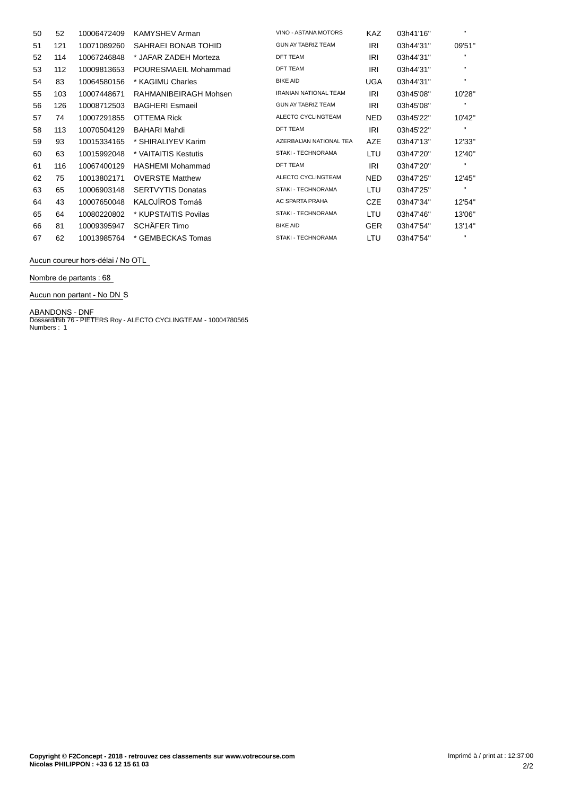| 50 | 52  | 10006472409 | <b>KAMYSHEV Arman</b>    | VINO - ASTANA MOTORS         | <b>KAZ</b> | 03h41'16" | $\blacksquare$ |
|----|-----|-------------|--------------------------|------------------------------|------------|-----------|----------------|
| 51 | 121 | 10071089260 | SAHRAEI BONAB TOHID      | <b>GUN AY TABRIZ TEAM</b>    | <b>IRI</b> | 03h44'31" | 09'51"         |
| 52 | 114 | 10067246848 | * JAFAR ZADEH Morteza    | <b>DFT TEAM</b>              | <b>IRI</b> | 03h44'31" | $\mathbf{H}$   |
| 53 | 112 | 10009813653 | POURESMAEIL Mohammad     | <b>DFT TEAM</b>              | IRI        | 03h44'31" | $\mathbf{H}$   |
| 54 | 83  | 10064580156 | * KAGIMU Charles         | <b>BIKE AID</b>              | UGA        | 03h44'31" | $\mathbf{H}$   |
| 55 | 103 | 10007448671 | RAHMANIBEIRAGH Mohsen    | <b>IRANIAN NATIONAL TEAM</b> | IRI        | 03h45'08" | 10'28"         |
| 56 | 126 | 10008712503 | <b>BAGHERI Esmaeil</b>   | <b>GUN AY TABRIZ TEAM</b>    | IRI        | 03h45'08" | $\mathbf{H}$   |
| 57 | 74  | 10007291855 | OTTEMA Rick              | ALECTO CYCLINGTEAM           | NED.       | 03h45'22" | 10'42"         |
| 58 | 113 | 10070504129 | <b>BAHARI Mahdi</b>      | <b>DFT TEAM</b>              | IRI        | 03h45'22" | $\mathbf{H}$   |
| 59 | 93  | 10015334165 | * SHIRALIYEV Karim       | AZERBAIJAN NATIONAL TEA      | AZE        | 03h47'13" | 12'33"         |
| 60 | 63  | 10015992048 | * VAITAITIS Kestutis     | <b>STAKI - TECHNORAMA</b>    | LTU        | 03h47'20" | 12'40"         |
| 61 | 116 | 10067400129 | <b>HASHEMI Mohammad</b>  | <b>DFT TEAM</b>              | IRI        | 03h47'20" | $\mathbf{H}$   |
| 62 | 75  | 10013802171 | <b>OVERSTE Matthew</b>   | ALECTO CYCLINGTEAM           | <b>NED</b> | 03h47'25" | 12'45"         |
| 63 | 65  | 10006903148 | <b>SERTVYTIS Donatas</b> | <b>STAKI - TECHNORAMA</b>    | LTU        | 03h47'25" | $\mathbf{H}$   |
| 64 | 43  | 10007650048 | KALOJÍROS Tomáš          | <b>AC SPARTA PRAHA</b>       | CZE        | 03h47'34" | 12'54"         |
| 65 | 64  | 10080220802 | * KUPSTAITIS Povilas     | STAKI - TECHNORAMA           | LTU        | 03h47'46" | 13'06"         |
| 66 | 81  | 10009395947 | SCHÄFER Timo             | <b>BIKE AID</b>              | <b>GER</b> | 03h47'54" | 13'14"         |
| 67 | 62  | 10013985764 | * GEMBECKAS Tomas        | <b>STAKI - TECHNORAMA</b>    | LTU        | 03h47'54" | $\mathbf{H}$   |

**Aucun coureur hors-délai / No OTL** 

### **Nombre de partants : 68**

**Aucun non partant - No DN** S

**ABANDONS - DNF** Dossard/Bib 76 - PIETERS Roy - ALECTO CYCLINGTEAM - 10004780565 Numbers : 1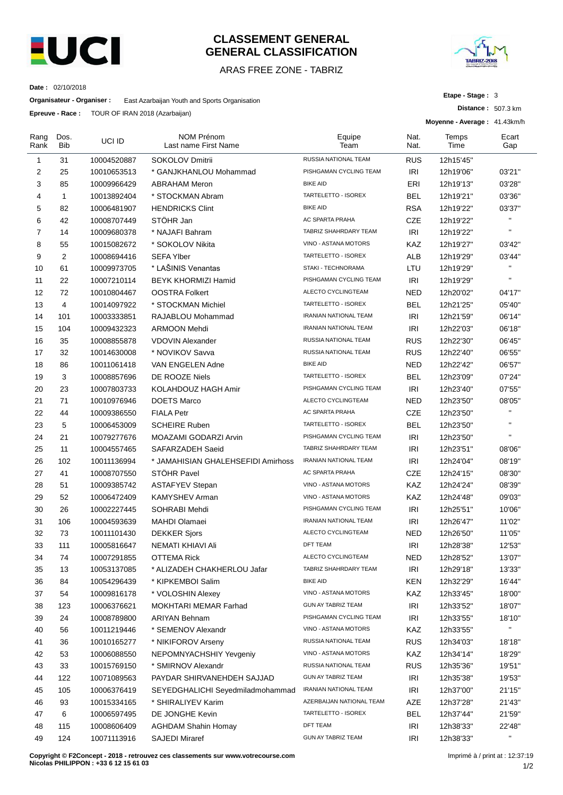

## **CLASSEMENT GENERAL GENERAL CLASSIFICATION**

## ARAS FREE ZONE - TABRIZ



**Distance :** 507.3 km

**Etape - Stage :** 3

**Date :** 02/10/2018

**Organisateur - Organiser :** East Azarbaijan Youth and Sports Organisation

**Epreuve - Race :** TOUR OF IRAN 2018 (Azarbaijan)

|                | <b>Lpieuve - Race.</b> TOUR OF IRAIN 2010 (AZdibaljaH) |             |                                           | Moyenne - Average: 41.43km/h |              |               |              |  |
|----------------|--------------------------------------------------------|-------------|-------------------------------------------|------------------------------|--------------|---------------|--------------|--|
| Rang<br>Rank   | Dos.<br><b>Bib</b>                                     | UCI ID      | <b>NOM Prénom</b><br>Last name First Name | Equipe<br>Team               | Nat.<br>Nat. | Temps<br>Time | Ecart<br>Gap |  |
| 1              | 31                                                     | 10004520887 | SOKOLOV Dmitrii                           | RUSSIA NATIONAL TEAM         | <b>RUS</b>   | 12h15'45"     |              |  |
| 2              | 25                                                     | 10010653513 | * GANJKHANLOU Mohammad                    | PISHGAMAN CYCLING TEAM       | IRI          | 12h19'06"     | 03'21"       |  |
| 3              | 85                                                     | 10009966429 | <b>ABRAHAM Meron</b>                      | <b>BIKE AID</b>              | ERI          | 12h19'13"     | 03'28"       |  |
| $\overline{4}$ | $\mathbf{1}$                                           | 10013892404 | * STOCKMAN Abram                          | TARTELETTO - ISOREX          | <b>BEL</b>   | 12h19'21"     | 03'36"       |  |
| 5              | 82                                                     | 10006481907 | <b>HENDRICKS Clint</b>                    | <b>BIKE AID</b>              | <b>RSA</b>   | 12h19'22"     | 03'37"       |  |
| 6              | 42                                                     | 10008707449 | STÖHR Jan                                 | AC SPARTA PRAHA              | <b>CZE</b>   | 12h19'22"     | $\mathbf{H}$ |  |
| $\overline{7}$ | 14                                                     | 10009680378 | * NAJAFI Bahram                           | TABRIZ SHAHRDARY TEAM        | IRI          | 12h19'22"     | $\mathbf{u}$ |  |
| 8              | 55                                                     | 10015082672 | * SOKOLOV Nikita                          | VINO - ASTANA MOTORS         | KAZ          | 12h19'27"     | 03'42"       |  |
| 9              | 2                                                      | 10008694416 | <b>SEFA Ylber</b>                         | TARTELETTO - ISOREX          | <b>ALB</b>   | 12h19'29"     | 03'44"       |  |
| 10             | 61                                                     | 10009973705 | * LAŠINIS Venantas                        | STAKI - TECHNORAMA           | LTU          | 12h19'29"     | $\mathbf{H}$ |  |
| 11             | 22                                                     | 10007210114 | <b>BEYK KHORMIZI Hamid</b>                | PISHGAMAN CYCLING TEAM       | IRI          | 12h19'29"     | $\mathbf{u}$ |  |
| 12             | 72                                                     | 10010804467 | <b>OOSTRA Folkert</b>                     | ALECTO CYCLINGTEAM           | <b>NED</b>   | 12h20'02"     | 04'17"       |  |
| 13             | 4                                                      | 10014097922 | * STOCKMAN Michiel                        | TARTELETTO - ISOREX          | <b>BEL</b>   | 12h21'25"     | 05'40"       |  |
| 14             | 101                                                    | 10003333851 | RAJABLOU Mohammad                         | <b>IRANIAN NATIONAL TEAM</b> | <b>IRI</b>   | 12h21'59"     | 06'14"       |  |
| 15             | 104                                                    | 10009432323 | <b>ARMOON Mehdi</b>                       | <b>IRANIAN NATIONAL TEAM</b> | IRI          | 12h22'03"     | 06'18"       |  |
| 16             | 35                                                     | 10008855878 | <b>VDOVIN Alexander</b>                   | RUSSIA NATIONAL TEAM         | <b>RUS</b>   | 12h22'30"     | 06'45"       |  |
| 17             | 32                                                     | 10014630008 | * NOVIKOV Savva                           | RUSSIA NATIONAL TEAM         | <b>RUS</b>   | 12h22'40"     | 06'55"       |  |
| 18             | 86                                                     | 10011061418 | VAN ENGELEN Adne                          | <b>BIKE AID</b>              | <b>NED</b>   | 12h22'42"     | 06'57"       |  |
| 19             | 3                                                      | 10008857696 | DE ROOZE Niels                            | TARTELETTO - ISOREX          | <b>BEL</b>   | 12h23'09"     | 07'24"       |  |
| 20             | 23                                                     | 10007803733 | KOLAHDOUZ HAGH Amir                       | PISHGAMAN CYCLING TEAM       | IRI          | 12h23'40"     | 07'55"       |  |
| 21             | 71                                                     | 10010976946 | <b>DOETS Marco</b>                        | ALECTO CYCLINGTEAM           | NED          | 12h23'50"     | 08'05"       |  |
| 22             | 44                                                     | 10009386550 | <b>FIALA Petr</b>                         | AC SPARTA PRAHA              | <b>CZE</b>   | 12h23'50"     | $\mathbf{H}$ |  |
| 23             | 5                                                      | 10006453009 | <b>SCHEIRE Ruben</b>                      | TARTELETTO - ISOREX          | <b>BEL</b>   | 12h23'50"     | $\mathbf{H}$ |  |
| 24             | 21                                                     | 10079277676 | MOAZAMI GODARZI Arvin                     | PISHGAMAN CYCLING TEAM       | IRI          | 12h23'50"     | $\mathbf{H}$ |  |
| 25             | 11                                                     | 10004557465 | SAFARZADEH Saeid                          | TABRIZ SHAHRDARY TEAM        | <b>IRI</b>   | 12h23'51"     | 08'06"       |  |
| 26             | 102                                                    | 10011136994 | * JAMAHISIAN GHALEHSEFIDI Amirhoss        | IRANIAN NATIONAL TEAM        | IRI          | 12h24'04"     | 08'19"       |  |
| 27             | 41                                                     | 10008707550 | STÖHR Pavel                               | AC SPARTA PRAHA              | <b>CZE</b>   | 12h24'15"     | 08'30"       |  |
| 28             | 51                                                     | 10009385742 | <b>ASTAFYEV Stepan</b>                    | VINO - ASTANA MOTORS         | <b>KAZ</b>   | 12h24'24"     | 08'39"       |  |
| 29             | 52                                                     | 10006472409 | <b>KAMYSHEV Arman</b>                     | VINO - ASTANA MOTORS         | KAZ          | 12h24'48"     | 09'03"       |  |
| 30             | 26                                                     | 10002227445 | SOHRABI Mehdi                             | PISHGAMAN CYCLING TEAM       | <b>IRI</b>   | 12h25'51"     | 10'06"       |  |
| 31             | 106                                                    | 10004593639 | <b>MAHDI Olamaei</b>                      | IRANIAN NATIONAL TEAM        | IRI          | 12h26'47"     | 11'02"       |  |
| 32             | 73                                                     | 10011101430 | <b>DEKKER Sjors</b>                       | ALECTO CYCLINGTEAM           | <b>NED</b>   | 12h26'50"     | 11'05"       |  |
| 33             | 111                                                    | 10005816647 | NEMATI KHIAVI Ali                         | DFT TEAM                     | <b>IRI</b>   | 12h28'38"     | 12'53"       |  |
| 34             | 74                                                     | 10007291855 | OTTEMA Rick                               | ALECTO CYCLINGTEAM           | <b>NED</b>   | 12h28'52"     | 13'07"       |  |
| 35             | 13                                                     | 10053137085 | * ALIZADEH CHAKHERLOU Jafar               | TABRIZ SHAHRDARY TEAM        | IRI          | 12h29'18"     | 13'33"       |  |
| 36             | 84                                                     | 10054296439 | * KIPKEMBOI Salim                         | <b>BIKE AID</b>              | KEN          | 12h32'29"     | 16'44"       |  |
| 37             | 54                                                     | 10009816178 | * VOLOSHIN Alexey                         | VINO - ASTANA MOTORS         | KAZ          | 12h33'45"     | 18'00"       |  |
| 38             | 123                                                    | 10006376621 | MOKHTARI MEMAR Farhad                     | GUN AY TABRIZ TEAM           | IRI          | 12h33'52"     | 18'07"       |  |
| 39             | 24                                                     | 10008789800 | <b>ARIYAN Behnam</b>                      | PISHGAMAN CYCLING TEAM       | IRI          | 12h33'55"     | 18'10"       |  |
| 40             | 56                                                     | 10011219446 | * SEMENOV Alexandr                        | VINO - ASTANA MOTORS         | <b>KAZ</b>   | 12h33'55"     | $\mathbf{H}$ |  |
| 41             | 36                                                     | 10010165277 | * NIKIFOROV Arseny                        | RUSSIA NATIONAL TEAM         | <b>RUS</b>   | 12h34'03"     | 18'18"       |  |
| 42             | 53                                                     | 10006088550 | NEPOMNYACHSHIY Yevgeniy                   | VINO - ASTANA MOTORS         | KAZ          | 12h34'14"     | 18'29"       |  |
| 43             | 33                                                     | 10015769150 | * SMIRNOV Alexandr                        | RUSSIA NATIONAL TEAM         | <b>RUS</b>   | 12h35'36"     | 19'51"       |  |
| 44             | 122                                                    | 10071089563 | PAYDAR SHIRVANEHDEH SAJJAD                | GUN AY TABRIZ TEAM           | <b>IRI</b>   | 12h35'38"     | 19'53"       |  |
| 45             | 105                                                    | 10006376419 | SEYEDGHALICHI Seyedmiladmohammad          | IRANIAN NATIONAL TEAM        | <b>IRI</b>   | 12h37'00"     | 21'15"       |  |
| 46             | 93                                                     | 10015334165 | * SHIRALIYEV Karim                        | AZERBAIJAN NATIONAL TEAM     | AZE          | 12h37'28"     | 21'43"       |  |
| 47             | 6                                                      | 10006597495 | DE JONGHE Kevin                           | TARTELETTO - ISOREX          | <b>BEL</b>   | 12h37'44"     | 21'59"       |  |
| 48             | 115                                                    | 10008606409 | <b>AGHDAM Shahin Homay</b>                | DFT TEAM                     | IRI          | 12h38'33"     | 22'48"       |  |
| 49             | 124                                                    | 10071113916 | <b>SAJEDI Miraref</b>                     | <b>GUN AY TABRIZ TEAM</b>    | <b>IRI</b>   | 12h38'33"     | $\mathbf{H}$ |  |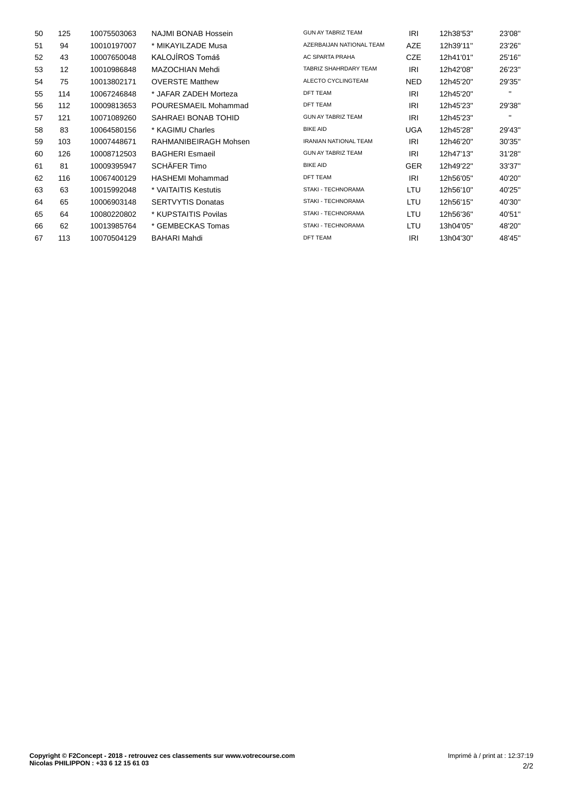| 50 | 125 | 10075503063 | NAJMI BONAB Hossein      | <b>GUN AY TABRIZ TEAM</b>    | IRI        | 12h38'53" | 23'08"       |
|----|-----|-------------|--------------------------|------------------------------|------------|-----------|--------------|
| 51 | 94  | 10010197007 | * MIKAYILZADE Musa       | AZERBAIJAN NATIONAL TEAM     | <b>AZE</b> | 12h39'11" | 23'26"       |
| 52 | 43  | 10007650048 | KALOJÍROS Tomáš          | AC SPARTA PRAHA              | <b>CZE</b> | 12h41'01" | 25'16"       |
| 53 | 12  | 10010986848 | MAZOCHIAN Mehdi          | TABRIZ SHAHRDARY TEAM        | IRI        | 12h42'08" | 26'23"       |
| 54 | 75  | 10013802171 | <b>OVERSTE Matthew</b>   | ALECTO CYCLINGTEAM           | <b>NED</b> | 12h45'20" | 29'35"       |
| 55 | 114 | 10067246848 | * JAFAR ZADEH Morteza    | <b>DFT TEAM</b>              | IRI        | 12h45'20" | $\mathbf{H}$ |
| 56 | 112 | 10009813653 | POURESMAEIL Mohammad     | <b>DFT TEAM</b>              | IRI        | 12h45'23" | 29'38"       |
| 57 | 121 | 10071089260 | SAHRAEI BONAB TOHID      | <b>GUN AY TABRIZ TEAM</b>    | IRI        | 12h45'23" | $\mathbf{H}$ |
| 58 | 83  | 10064580156 | * KAGIMU Charles         | <b>BIKE AID</b>              | <b>UGA</b> | 12h45'28" | 29'43"       |
| 59 | 103 | 10007448671 | RAHMANIBEIRAGH Mohsen    | <b>IRANIAN NATIONAL TEAM</b> | IRI        | 12h46'20" | 30'35"       |
| 60 | 126 | 10008712503 | <b>BAGHERI Esmaeil</b>   | <b>GUN AY TABRIZ TEAM</b>    | IRI        | 12h47'13" | 31'28"       |
| 61 | 81  | 10009395947 | SCHÄFER Timo             | <b>BIKE AID</b>              | <b>GER</b> | 12h49'22" | 33'37"       |
| 62 | 116 | 10067400129 | HASHEMI Mohammad         | <b>DFT TEAM</b>              | IRI        | 12h56'05" | 40'20"       |
| 63 | 63  | 10015992048 | * VAITAITIS Kestutis     | <b>STAKI - TECHNORAMA</b>    | LTU        | 12h56'10" | 40'25"       |
| 64 | 65  | 10006903148 | <b>SERTVYTIS Donatas</b> | <b>STAKI - TECHNORAMA</b>    | LTU        | 12h56'15" | 40'30"       |
| 65 | 64  | 10080220802 | * KUPSTAITIS Povilas     | <b>STAKI - TECHNORAMA</b>    | LTU        | 12h56'36" | 40'51"       |
| 66 | 62  | 10013985764 | * GEMBECKAS Tomas        | <b>STAKI - TECHNORAMA</b>    | LTU        | 13h04'05" | 48'20"       |
| 67 | 113 | 10070504129 | <b>BAHARI Mahdi</b>      | <b>DFT TEAM</b>              | IRI        | 13h04'30" | 48'45"       |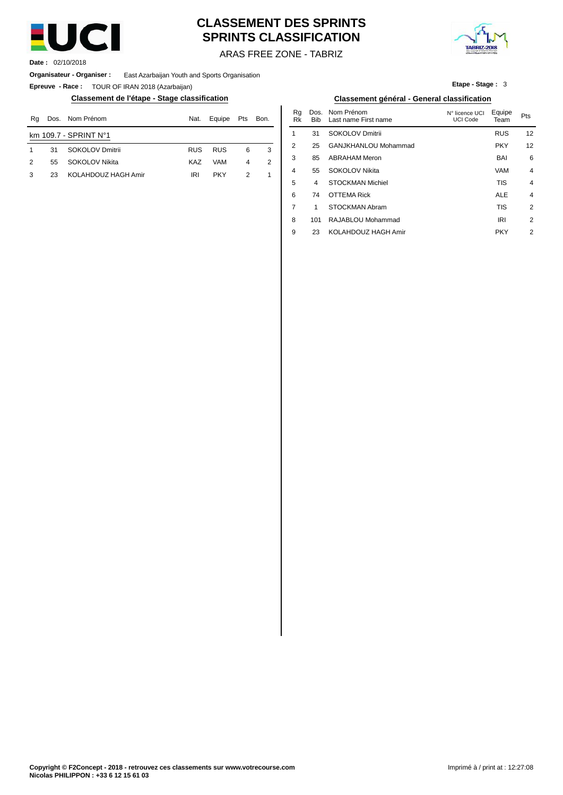

# **CLASSEMENT DES SPRINTS SPRINTS CLASSIFICATION**



ARAS FREE ZONE - TABRIZ

**Date :** 02/10/2018

**Organisateur - Organiser :** East Azarbaijan Youth and Sports Organisation

**Epreuve - Race :** TOUR OF IRAN 2018 (Azarbaijan)

## **Classement de l'étape - Stage classification Classement général - General classification**

| Rq | Dos. | Nom Prénom            | Nat.       | Equipe     | Pts | Bon. | Nu<br>Rk | טש.<br><b>Bib</b> | <b>INVILLE LUIDILL</b><br>Last name First name | <b>INTERCHICE UCT</b><br>UCI Code | <b>Lyupe</b><br>Team | Pts |
|----|------|-----------------------|------------|------------|-----|------|----------|-------------------|------------------------------------------------|-----------------------------------|----------------------|-----|
|    |      | km 109.7 - SPRINT N°1 |            |            |     |      |          | 31                | SOKOLOV Dmitrii                                |                                   | <b>RUS</b>           | 12  |
|    | 31   | SOKOLOV Dmitrii       | <b>RUS</b> | <b>RUS</b> | 6   |      |          | 25                | GANJKHANLOU Mohammad                           |                                   | <b>PKY</b>           | 12  |
| 2  | 55   | SOKOLOV Nikita        | KAZ        | <b>VAM</b> | 4   |      |          | 85                | <b>ABRAHAM Meron</b>                           |                                   | <b>BAI</b>           |     |
|    | 23   | KOLAHDOUZ HAGH Amir   | <b>IRI</b> | <b>PKY</b> |     |      | 4        | 55                | SOKOLOV Nikita                                 |                                   | <b>VAM</b>           |     |
|    |      |                       |            |            |     |      |          |                   |                                                |                                   | ___                  |     |

**Etape - Stage :** 3

| Nat. | Equipe     | Pts            | Bon. | Rq<br>Rk       | Dos.<br><b>Bib</b> | Nom Prénom<br>Last name First name | N° licence UCI<br><b>UCI Code</b> | Equipe<br>Team | Pts            |
|------|------------|----------------|------|----------------|--------------------|------------------------------------|-----------------------------------|----------------|----------------|
|      |            |                |      | 1              | 31                 | <b>SOKOLOV Dmitrii</b>             |                                   | <b>RUS</b>     | 12             |
| RUS  | <b>RUS</b> | 6              | 3    | 2              | 25                 | GANJKHANLOU Mohammad               |                                   | <b>PKY</b>     | 12             |
| KAZ  | <b>VAM</b> | $\overline{4}$ | 2    | 3              | 85                 | <b>ABRAHAM Meron</b>               |                                   | <b>BAI</b>     | 6              |
| IRI  | <b>PKY</b> | $\overline{2}$ | 1    | $\overline{4}$ | 55                 | <b>SOKOLOV Nikita</b>              |                                   | <b>VAM</b>     | $\overline{4}$ |
|      |            |                |      | 5              | 4                  | <b>STOCKMAN Michiel</b>            |                                   | <b>TIS</b>     | $\overline{4}$ |
|      |            |                |      | 6              | 74                 | <b>OTTEMA Rick</b>                 |                                   | <b>ALE</b>     | $\overline{4}$ |
|      |            |                |      | 7              | 1                  | STOCKMAN Abram                     |                                   | <b>TIS</b>     | $\overline{2}$ |
|      |            |                |      | 8              | 101                | RAJABLOU Mohammad                  |                                   | <b>IRI</b>     | 2              |
|      |            |                |      | 9              | 23                 | KOLAHDOUZ HAGH Amir                |                                   | <b>PKY</b>     | $\overline{2}$ |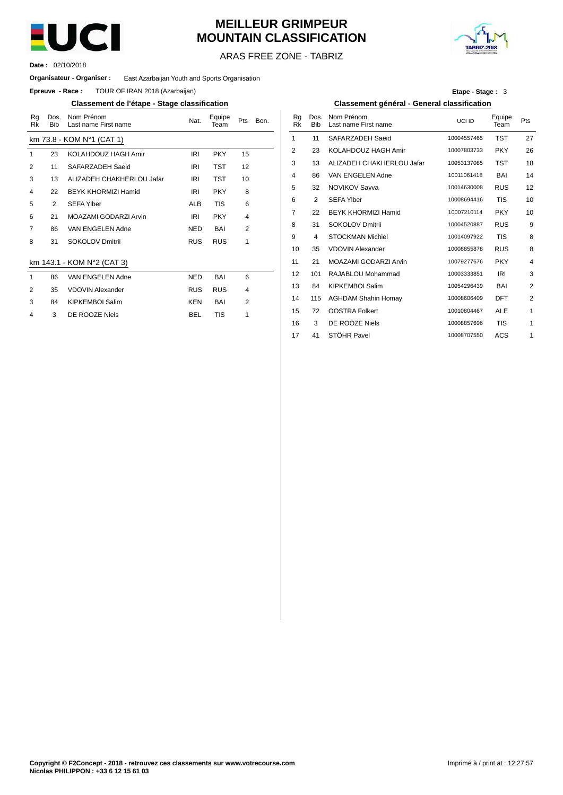

# **MEILLEUR GRIMPEUR MOUNTAIN CLASSIFICATION**



ARAS FREE ZONE - TABRIZ

02/10/2018 **Date :**

#### **Organisateur - Organiser :** East Azarbaijan Youth and Sports Organisation

**Epreuve - Race:** TOUR OF IRAN 2018 (Azarbaijan)

## **Classement de l'étape - Stage classification Classement général - General classification**

| Rg<br>Rk | Dos.<br><b>Bib</b> | Nom Prénom<br>Last name First name | Nat.       | Equipe<br>Team | Pts            | Bon. | Rq<br>Rk       | Dos.<br><b>Bib</b> | Nom Prénom<br>Last name First na |
|----------|--------------------|------------------------------------|------------|----------------|----------------|------|----------------|--------------------|----------------------------------|
|          |                    | km 73.8 - KOM N°1 (CAT 1)          |            |                |                |      | 1              | 11                 | SAFARZADEH Sa                    |
| 1        | 23                 | KOLAHDOUZ HAGH Amir                | <b>IRI</b> | <b>PKY</b>     | 15             |      | $\overline{2}$ | 23                 | KOLAHDOUZ HA                     |
| 2        | 11                 | SAFARZADEH Saeid                   | IRI        | <b>TST</b>     | 12             |      | 3              | 13                 | ALIZADEH CHAKI                   |
| 3        | 13                 | ALIZADEH CHAKHERLOU Jafar          | IRI        | TST            | 10             |      | 4              | 86                 | VAN ENGELEN A                    |
| 4        | 22                 | <b>BEYK KHORMIZI Hamid</b>         | IRI        | <b>PKY</b>     | 8              |      | 5              | 32                 | <b>NOVIKOV Savva</b>             |
| 5        | 2                  | <b>SEFA Ylber</b>                  | <b>ALB</b> | <b>TIS</b>     | 6              |      | 6              | 2                  | <b>SEFA Ylber</b>                |
| 6        | 21                 | MOAZAMI GODARZI Arvin              | IRI        | <b>PKY</b>     | 4              |      | 7              | 22                 | <b>BEYK KHORMIZI</b>             |
| 7        | 86                 | VAN ENGELEN Adne                   | <b>NED</b> | <b>BAI</b>     | $\overline{2}$ |      | 8              | 31                 | <b>SOKOLOV Dmitrii</b>           |
| 8        | 31                 | <b>SOKOLOV Dmitrii</b>             | <b>RUS</b> | <b>RUS</b>     | 1              |      | 9              | 4                  | <b>STOCKMAN Michi</b>            |
|          |                    |                                    |            |                |                |      | 10             | 35                 | <b>VDOVIN Alexande</b>           |
|          |                    | km 143.1 - KOM N°2 (CAT 3)         |            |                |                |      | 11             | 21                 | <b>MOAZAMI GODAR</b>             |
| 1        | 86                 | VAN ENGELEN Adne                   | <b>NED</b> | <b>BAI</b>     | 6              |      | 12             | 101                | RAJABLOU Moha                    |
| 2        | 35                 | <b>VDOVIN Alexander</b>            | <b>RUS</b> | <b>RUS</b>     | 4              |      | 13             | 84                 | <b>KIPKEMBOI Salim</b>           |
| 3        | 84                 | <b>KIPKEMBOI Salim</b>             | <b>KEN</b> | BAI            | $\overline{2}$ |      | 14             | 115                | <b>AGHDAM Shahin</b>             |
| 4        | 3                  | DE ROOZE Niels                     | <b>BEL</b> | <b>TIS</b>     | 1              |      | 15             | 72                 | <b>OOSTRA Folkert</b>            |
|          |                    |                                    |            |                |                |      |                |                    |                                  |

| Etape - Stage: 3 |  |  |
|------------------|--|--|
|------------------|--|--|

| Nat.       | Equipe<br>Team | Pts            | Bon. | Rg<br><b>Rk</b> | Dos.<br><b>Bib</b> | Nom Prénom<br>Last name First name | UCI ID      | Equipe<br>Team | Pts            |
|------------|----------------|----------------|------|-----------------|--------------------|------------------------------------|-------------|----------------|----------------|
|            |                |                |      | 1               | 11                 | SAFARZADEH Saeid                   | 10004557465 | <b>TST</b>     | 27             |
| IRI        | <b>PKY</b>     | 15             |      | $\overline{2}$  | 23                 | KOLAHDOUZ HAGH Amir                | 10007803733 | <b>PKY</b>     | 26             |
| IRI        | <b>TST</b>     | 12             |      | 3               | 13                 | ALIZADEH CHAKHERLOU Jafar          | 10053137085 | <b>TST</b>     | 18             |
| <b>IRI</b> | <b>TST</b>     | 10             |      | 4               | 86                 | VAN ENGELEN Adne                   | 10011061418 | BAI            | 14             |
| IRI        | <b>PKY</b>     | 8              |      | 5               | 32                 | <b>NOVIKOV Savva</b>               | 10014630008 | <b>RUS</b>     | 12             |
| <b>ALB</b> | <b>TIS</b>     | 6              |      | 6               | 2                  | <b>SEFA Ylber</b>                  | 10008694416 | <b>TIS</b>     | 10             |
| IRI        | <b>PKY</b>     | $\overline{4}$ |      | 7               | 22                 | <b>BEYK KHORMIZI Hamid</b>         | 10007210114 | <b>PKY</b>     | 10             |
| NED        | BAI            | 2              |      | 8               | 31                 | <b>SOKOLOV Dmitrii</b>             | 10004520887 | <b>RUS</b>     | 9              |
| <b>RUS</b> | <b>RUS</b>     | 1              |      | 9               | 4                  | <b>STOCKMAN Michiel</b>            | 10014097922 | <b>TIS</b>     | 8              |
|            |                |                |      | 10              | 35                 | <b>VDOVIN Alexander</b>            | 10008855878 | <b>RUS</b>     | 8              |
|            |                |                |      | 11              | 21                 | MOAZAMI GODARZI Arvin              | 10079277676 | <b>PKY</b>     | 4              |
| NED        | BAI            | 6              |      | 12              | 101                | RAJABLOU Mohammad                  | 10003333851 | <b>IRI</b>     | 3              |
| <b>RUS</b> | <b>RUS</b>     | $\overline{4}$ |      | 13              | 84                 | <b>KIPKEMBOI Salim</b>             | 10054296439 | BAI            | $\overline{2}$ |
| KEN        | BAI            | $\overline{2}$ |      | 14              | 115                | <b>AGHDAM Shahin Homay</b>         | 10008606409 | DFT            | 2              |
| BEL        | <b>TIS</b>     | 1              |      | 15              | 72                 | <b>OOSTRA Folkert</b>              | 10010804467 | <b>ALE</b>     | 1              |
|            |                |                |      | 16              | 3                  | DE ROOZE Niels                     | 10008857696 | <b>TIS</b>     | 1              |
|            |                |                |      | 17              | 41                 | STÖHR Pavel                        | 10008707550 | ACS            | 1              |
|            |                |                |      |                 |                    |                                    |             |                |                |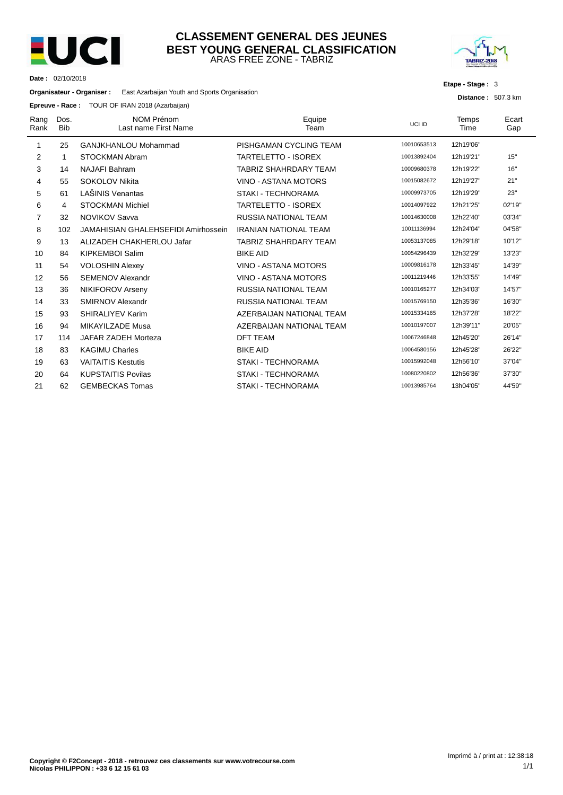

**Date :** 02/10/2018

## ARAS FREE ZONE - TABRIZ **CLASSEMENT GENERAL DES JEUNES BEST YOUNG GENERAL CLASSIFICATION**



**Etape - Stage :** 3

**Distance :** 507.3 km

**Organisateur - Organiser :** East Azarbaijan Youth and Sports Organisation

| Epreuve - Race: TOUR OF IRAN 2018 (Azarbaijan) |
|------------------------------------------------|
|                                                |

| Rang<br>Rank | Dos.<br><b>Bib</b> | <b>NOM Prénom</b><br>Last name First Name | Equipe<br>Team               | UCI ID      | Temps<br>Time | Ecart<br>Gap |
|--------------|--------------------|-------------------------------------------|------------------------------|-------------|---------------|--------------|
| 1            | 25                 | GANJKHANLOU Mohammad                      | PISHGAMAN CYCLING TEAM       | 10010653513 | 12h19'06"     |              |
| 2            | 1                  | <b>STOCKMAN Abram</b>                     | <b>TARTELETTO - ISOREX</b>   | 10013892404 | 12h19'21"     | 15"          |
| 3            | 14                 | <b>NAJAFI Bahram</b>                      | <b>TABRIZ SHAHRDARY TEAM</b> | 10009680378 | 12h19'22"     | 16"          |
| 4            | 55                 | <b>SOKOLOV Nikita</b>                     | VINO - ASTANA MOTORS         | 10015082672 | 12h19'27"     | 21"          |
| 5            | 61                 | LAŠINIS Venantas                          | <b>STAKI - TECHNORAMA</b>    | 10009973705 | 12h19'29"     | 23"          |
| 6            | 4                  | <b>STOCKMAN Michiel</b>                   | <b>TARTELETTO - ISOREX</b>   | 10014097922 | 12h21'25"     | 02'19"       |
| 7            | 32                 | <b>NOVIKOV Savva</b>                      | <b>RUSSIA NATIONAL TEAM</b>  | 10014630008 | 12h22'40"     | 03'34"       |
| 8            | 102                | JAMAHISIAN GHALEHSEFIDI Amirhossein       | <b>IRANIAN NATIONAL TEAM</b> | 10011136994 | 12h24'04"     | 04'58"       |
| 9            | 13                 | ALIZADEH CHAKHERLOU Jafar                 | <b>TABRIZ SHAHRDARY TEAM</b> | 10053137085 | 12h29'18"     | 10'12"       |
| 10           | 84                 | <b>KIPKEMBOI Salim</b>                    | <b>BIKE AID</b>              | 10054296439 | 12h32'29"     | 13'23"       |
| 11           | 54                 | <b>VOLOSHIN Alexey</b>                    | VINO - ASTANA MOTORS         | 10009816178 | 12h33'45"     | 14'39"       |
| 12           | 56                 | <b>SEMENOV Alexandr</b>                   | VINO - ASTANA MOTORS         | 10011219446 | 12h33'55"     | 14'49"       |
| 13           | 36                 | NIKIFOROV Arseny                          | <b>RUSSIA NATIONAL TEAM</b>  | 10010165277 | 12h34'03"     | 14'57"       |
| 14           | 33                 | <b>SMIRNOV Alexandr</b>                   | <b>RUSSIA NATIONAL TEAM</b>  | 10015769150 | 12h35'36"     | 16'30"       |
| 15           | 93                 | SHIRALIYEV Karim                          | AZERBAIJAN NATIONAL TEAM     | 10015334165 | 12h37'28"     | 18'22"       |
| 16           | 94                 | MIKAYILZADE Musa                          | AZERBAIJAN NATIONAL TEAM     | 10010197007 | 12h39'11"     | 20'05"       |
| 17           | 114                | JAFAR ZADEH Morteza                       | <b>DFT TEAM</b>              | 10067246848 | 12h45'20"     | 26'14"       |
| 18           | 83                 | <b>KAGIMU Charles</b>                     | <b>BIKE AID</b>              | 10064580156 | 12h45'28"     | 26'22"       |
| 19           | 63                 | <b>VAITAITIS Kestutis</b>                 | STAKI - TECHNORAMA           | 10015992048 | 12h56'10"     | 37'04"       |
| 20           | 64                 | <b>KUPSTAITIS Povilas</b>                 | <b>STAKI - TECHNORAMA</b>    | 10080220802 | 12h56'36"     | 37'30"       |
| 21           | 62                 | <b>GEMBECKAS Tomas</b>                    | <b>STAKI - TECHNORAMA</b>    | 10013985764 | 13h04'05"     | 44'59"       |
|              |                    |                                           |                              |             |               |              |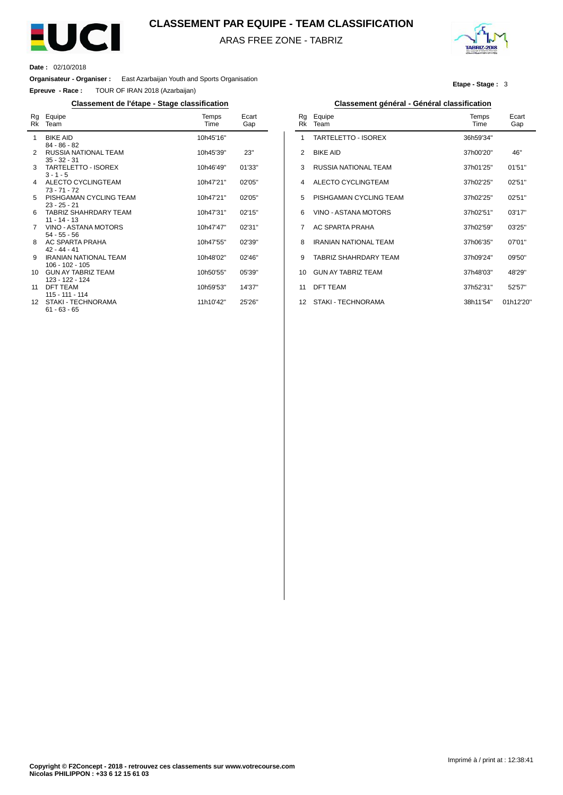

## **CLASSEMENT PAR EQUIPE - TEAM CLASSIFICATION**

ARAS FREE ZONE - TABRIZ



**Etape - Stage :** 3

**Date :** 02/10/2018

L.

**Organisateur - Organiser :** East Azarbaijan Youth and Sports Organisation

**Epreuve - Race :** TOUR OF IRAN 2018 (Azarbaijan)

## **Classement de l'étape - Stage classification Classement général - Général classification**

| Rg<br>Rk | Equipe<br>Team                        | Temps<br>Time | Ecart<br>Gap |
|----------|---------------------------------------|---------------|--------------|
| 1        | <b>BIKE AID</b>                       | 10h45'16"     |              |
|          | $84 - 86 - 82$                        |               |              |
| 2        | RUSSIA NATIONAL TEAM                  | 10h45'39"     | 23"          |
| 3        | $35 - 32 - 31$<br>TARTELETTO - ISOREX | 10h46'49"     | 01'33"       |
|          | $3 - 1 - 5$                           |               |              |
| 4        | ALECTO CYCLINGTEAM                    | 10h47'21"     | 02'05"       |
|          | $73 - 71 - 72$                        |               |              |
| 5        | PISHGAMAN CYCLING TEAM                | 10h47'21"     | 02'05"       |
|          | $23 - 25 - 21$                        |               |              |
| 6        | TABRIZ SHAHRDARY TEAM                 | 10h47'31"     | 02'15"       |
|          | $11 - 14 - 13$                        |               |              |
| 7        | VINO - ASTANA MOTORS                  | 10h47'47"     | 02'31''      |
|          | $54 - 55 - 56$                        |               |              |
| 8        | AC SPARTA PRAHA                       | 10h47'55"     | 02'39"       |
|          | $42 - 44 - 41$                        |               |              |
| 9        | <b>IRANIAN NATIONAL TEAM</b>          | 10h48'02"     | 02'46"       |
|          | $106 - 102 - 105$                     |               |              |
| 10       | <b>GUN AY TABRIZ TEAM</b>             | 10h50'55"     | 05'39"       |
| 11       | 123 - 122 - 124<br><b>DFT TEAM</b>    |               | 14'37"       |
|          | $115 - 111 - 114$                     | 10h59'53"     |              |
| 12       | STAKI - TECHNORAMA                    | 11h10'42"     | 25'26"       |
|          | $61 - 63 - 65$                        |               |              |
|          |                                       |               |              |

| Rg<br>Rk | Equipe<br>Team               | Temps<br>Time | Ecart<br>Gap |
|----------|------------------------------|---------------|--------------|
| 1        | <b>TARTELETTO - ISOREX</b>   | 36h59'34"     |              |
| 2        | <b>BIKE AID</b>              | 37h00'20"     | 46"          |
| 3        | RUSSIA NATIONAL TEAM         | 37h01'25"     | 01'51"       |
| 4        | ALECTO CYCLINGTEAM           | 37h02'25"     | 02'51"       |
| 5        | PISHGAMAN CYCLING TEAM       | 37h02'25"     | 02'51"       |
| 6        | VINO - ASTANA MOTORS         | 37h02'51"     | 03'17"       |
| 7        | AC SPARTA PRAHA              | 37h02'59"     | 03'25"       |
| 8        | <b>IRANIAN NATIONAL TEAM</b> | 37h06'35"     | 07'01"       |
| 9        | TABRIZ SHAHRDARY TFAM        | 37h09'24"     | 09'50"       |
| 10       | <b>GUN AY TABRIZ TEAM</b>    | 37h48'03"     | 48'29"       |
| 11       | <b>DFT TEAM</b>              | 37h52'31"     | 52'57"       |
| 12       | STAKI - TECHNORAMA           | 38h11'54"     | 01h12'20"    |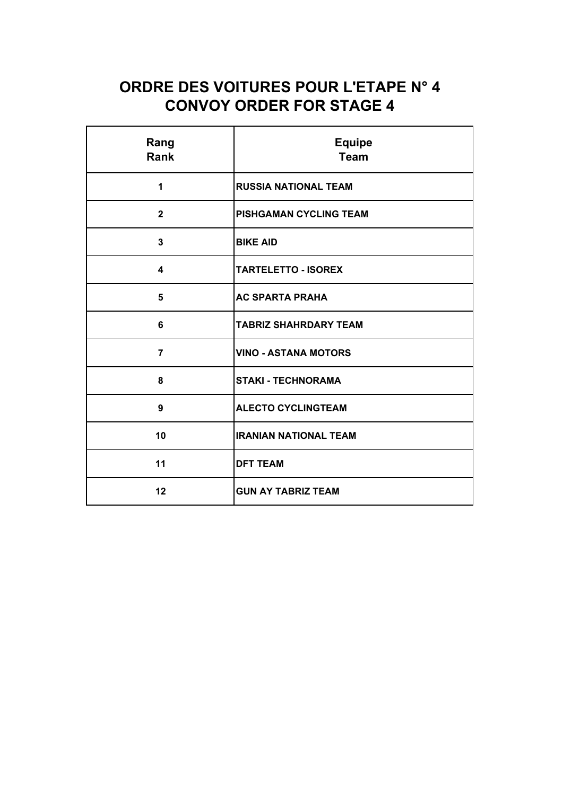# **ORDRE DES VOITURES POUR L'ETAPE N° 4 CONVOY ORDER FOR STAGE 4**

| Rang<br>Rank   | <b>Equipe</b><br><b>Team</b> |  |
|----------------|------------------------------|--|
| 1              | <b>RUSSIA NATIONAL TEAM</b>  |  |
| $\mathbf{2}$   | PISHGAMAN CYCLING TEAM       |  |
| $\overline{3}$ | <b>BIKE AID</b>              |  |
| 4              | <b>TARTELETTO - ISOREX</b>   |  |
| 5              | <b>AC SPARTA PRAHA</b>       |  |
| 6              | TABRIZ SHAHRDARY TEAM        |  |
| $\overline{7}$ | <b>VINO - ASTANA MOTORS</b>  |  |
| 8              | <b>STAKI - TECHNORAMA</b>    |  |
| 9              | <b>ALECTO CYCLINGTEAM</b>    |  |
| 10             | <b>IRANIAN NATIONAL TEAM</b> |  |
| 11             | <b>DFT TEAM</b>              |  |
| 12             | <b>GUN AY TABRIZ TEAM</b>    |  |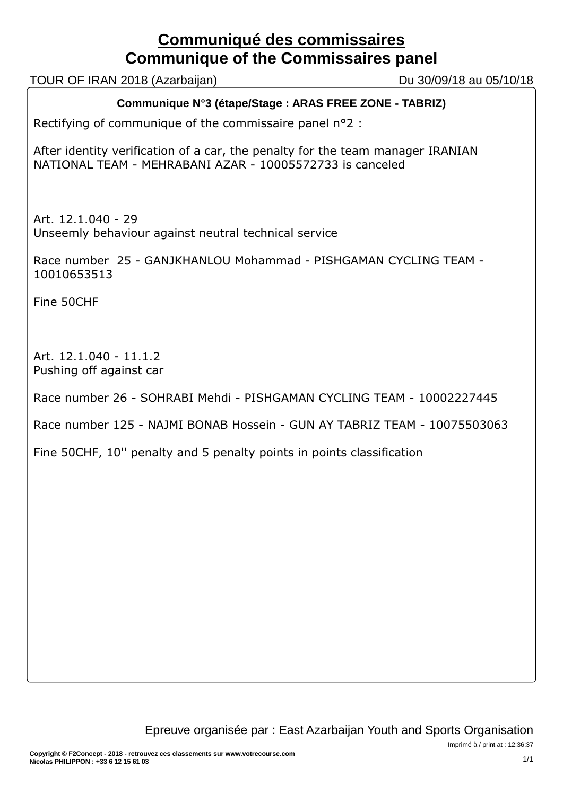# **Communiqué des commissaires Communique of the Commissaires panel**

TOUR OF IRAN 2018 (Azarbaijan) Du 30/09/18 au 05/10/18

# **Communique N°3 (étape/Stage : ARAS FREE ZONE - TABRIZ)**

Rectifying of communique of the commissaire panel n°2 :

After identity verification of a car, the penalty for the team manager IRANIAN NATIONAL TEAM - MEHRABANI AZAR - 10005572733 is canceled

Art. 12.1.040 - 29 Unseemly behaviour against neutral technical service

Race number 25 - GANJKHANLOU Mohammad - PISHGAMAN CYCLING TEAM - 10010653513

Fine 50CHF

Art. 12.1.040 - 11.1.2 Pushing off against car

Race number 26 - SOHRABI Mehdi - PISHGAMAN CYCLING TEAM - 10002227445

Race number 125 - NAJMI BONAB Hossein - GUN AY TABRIZ TEAM - 10075503063

Fine 50CHF, 10'' penalty and 5 penalty points in points classification

Imprimé à / print at : 12:36:37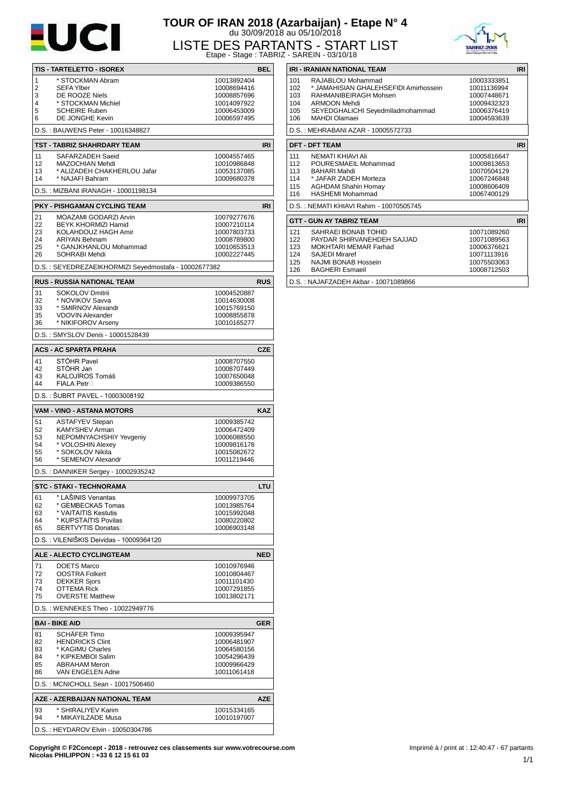

# **TOUR OF IRAN 2018 (Azarbaijan) - Etape N° 4** du 30/09/2018 au 05/10/2018 LISTE DES PARTANTS - START LIST Etape - Stage : TABRIZ - SAREIN - 03/10/18



|                |                                                      |                            | Liapo - Olayo LinDiviz |
|----------------|------------------------------------------------------|----------------------------|------------------------|
|                | TIS - TARTELETTO - ISOREX                            |                            | <b>BEL</b>             |
| 1              | * STOCKMAN Abram                                     | 10013892404                |                        |
| $\overline{2}$ | SEFA Ylber                                           | 10008694416                |                        |
| 3              | DE ROOZE Niels                                       | 10008857696                |                        |
| 4              | * STOCKMAN Michiel                                   | 10014097922                |                        |
| 5<br>6         | <b>SCHEIRE Ruben</b><br>DE JONGHE Kevin              | 10006453009<br>10006597495 |                        |
|                |                                                      |                            |                        |
|                | D.S.: BAUWENS Peter - 10016348827                    |                            |                        |
|                | TST - TABRIZ SHAHRDARY TEAM                          |                            | <b>IRI</b>             |
| 11             | SAFARZADEH Saeid                                     | 10004557465                |                        |
| 12<br>13       | MAZOCHIAN Mehdi<br>* ALIZADEH CHAKHERLOU Jafar       | 10010986848<br>10053137085 |                        |
| 14             | * NAJAFI Bahram                                      | 10009680378                |                        |
|                | D.S.: MIZBANI IRANAGH - 10001198134                  |                            |                        |
|                |                                                      |                            |                        |
| 21             | PKY - PISHGAMAN CYCLING TEAM                         |                            | <b>IRI</b>             |
| 22             | MOAZAMI GODARZI Arvin<br>BEYK KHORMIZI Hamid         | 10079277676<br>10007210114 |                        |
| 23             | KOLAHDOUZ HAGH Amir                                  | 10007803733                |                        |
| 24             | <b>ARIYAN Behnam</b>                                 | 10008789800                |                        |
| 25             | * GANJKHANLOU Mohammad                               | 10010653513                |                        |
| 26             | SOHRABI Mehdi                                        | 10002227445                |                        |
|                | D.S.: SEYEDREZAEIKHORMIZI Seyedmostafa - 10002677382 |                            |                        |
|                | <b>RUS - RUSSIA NATIONAL TEAM</b>                    |                            | <b>RUS</b>             |
| 31             | <b>SOKOLOV Dmitrii</b>                               | 10004520887                |                        |
| 32             | * NOVIKOV Savva                                      | 10014630008                |                        |
| 33             | * SMIRNOV Alexandr                                   | 10015769150                |                        |
| 35             | <b>VDOVIN Alexander</b>                              | 10008855878                |                        |
| 36             | * NIKIFOROV Arseny                                   | 10010165277                |                        |
|                | D.S.: SMYSLOV Denis - 10001528439                    |                            |                        |
|                | <b>ACS - AC SPARTA PRAHA</b>                         |                            | <b>CZE</b>             |
| 41             | STÖHR Pavel                                          | 10008707550                |                        |
| 42             | STÖHR Jan                                            | 10008707449                |                        |
| 43<br>44       | KALOJÍROS Tomáš<br><b>FIALA Petr</b> □               | 10007650048<br>10009386550 |                        |
|                | D.S.: ŠUBRT PAVEL - 10003008192                      |                            |                        |
|                |                                                      |                            |                        |
| 51             | VAM - VINO - ASTANA MOTORS                           |                            | <b>KAZ</b>             |
| 52             | <b>ASTAFYEV Stepan</b><br>KAMYSHEV Arman             | 10009385742<br>10006472409 |                        |
| 53             | NEPOMNYACHSHIY Yevgeniy                              | 10006088550                |                        |
| 54             | * VOLOSHIN Alexey                                    | 10009816178                |                        |
| 55             | * SOKOLOV Nikita                                     | 10015082672                |                        |
| 56             | * SEMENOV Alexandr                                   | 10011219446                |                        |
|                | D.S.: DANNIKER Sergey - 10002935242                  |                            |                        |
|                | <b>STC - STAKI - TECHNORAMA</b>                      |                            | LTU                    |
| 61             | * LAŠINIS Venantas                                   | 10009973705                |                        |
| 62             | * GEMBECKAS Tomas                                    | 10013985764                |                        |
| 63             | * VAITAITIS Kestutis                                 | 10015992048                |                        |
| 64             | * KUPSTAITIS Povilas                                 | 10080220802                |                        |
| 65             | <b>SERTVYTIS Donatas</b> □                           | 10006903148                |                        |
|                | D.S.: VILENIŠKIS Deividas - 10009364120              |                            |                        |
|                | ALE - ALECTO CYCLINGTEAM                             |                            | <b>NED</b>             |
| 71             | <b>DOETS Marco</b>                                   | 10010976946                |                        |
| 72             | <b>OOSTRA Folkert</b>                                | 10010804467                |                        |
| 73<br>74       | <b>DEKKER Siors</b><br><b>OTTEMA Rick</b>            | 10011101430<br>10007291855 |                        |
| 75             | <b>OVERSTE Matthew</b>                               | 10013802171                |                        |
|                | D.S.: WENNEKES Theo - 10022949776                    |                            |                        |
|                |                                                      |                            |                        |
| 81             | <b>BAI - BIKE AID</b><br><b>SCHÄFER Timo</b>         | 10009395947                | <b>GER</b>             |
| 82             | <b>HENDRICKS Clint</b>                               | 10006481907                |                        |
| 83             | * KAGIMU Charles                                     | 10064580156                |                        |
| 84             | * KIPKEMBOI Salim                                    | 10054296439                |                        |
| 85             | <b>ABRAHAM Meron</b>                                 | 10009966429                |                        |
| 86             | VAN ENGELEN Adne                                     | 10011061418                |                        |
|                | D.S.: MCNICHOLL Sean - 10017506460                   |                            |                        |
|                | AZE - AZERBAIJAN NATIONAL TEAM                       |                            | <b>AZE</b>             |
| 93             | * SHIRALIYEV Karim                                   | 10015334165                |                        |
| 94             | * MIKAYILZADE Musa                                   | 10010197007                |                        |
|                | D.S.: HEYDAROV Elvin - 10050304786                   |                            |                        |

| <b>IRI - IRANIAN NATIONAL TEAM</b>            |                                       |             |  |  |  |
|-----------------------------------------------|---------------------------------------|-------------|--|--|--|
| 101                                           | RAJABLOU Mohammad                     | 10003333851 |  |  |  |
| 102                                           | * JAMAHISIAN GHALEHSEFIDI Amirhossein | 10011136994 |  |  |  |
| 103                                           | RAHMANIBEIRAGH Mohsen                 | 10007448671 |  |  |  |
| 104                                           | ARMOON Mehdi                          | 10009432323 |  |  |  |
| 105                                           | SEYEDGHALICHI Seyedmiladmohammad      | 10006376419 |  |  |  |
| 106                                           | MAHDI Olamaei                         | 10004593639 |  |  |  |
| D.S.: MEHRABANI AZAR - 10005572733            |                                       |             |  |  |  |
| <b>IRI</b><br><b>DFT - DFT TEAM</b>           |                                       |             |  |  |  |
| 111                                           | NEMATI KHIAVI Ali                     | 10005816647 |  |  |  |
| 112                                           | POURESMAEIL Mohammad                  | 10009813653 |  |  |  |
| 113                                           | <b>BAHARI Mahdi</b>                   | 10070504129 |  |  |  |
| 114                                           | * JAFAR ZADEH Morteza                 | 10067246848 |  |  |  |
| 115                                           | <b>AGHDAM Shahin Homay</b>            | 10008606409 |  |  |  |
| 116                                           | <b>HASHEMI Mohammad</b>               | 10067400129 |  |  |  |
| D.S.: NEMATI KHIAVI Rahim - 10070505745       |                                       |             |  |  |  |
| <b>IRI</b><br><b>GTT - GUN AY TABRIZ TEAM</b> |                                       |             |  |  |  |
| 121                                           | SAHRAEI BONAB TOHID                   | 10071089260 |  |  |  |
| 122                                           | PAYDAR SHIRVANEHDEH SAJJAD            | 10071089563 |  |  |  |
| 123                                           | MOKHTARI MEMAR Farhad                 | 10006376621 |  |  |  |
| 124                                           | <b>SAJEDI Miraref</b>                 | 10071113916 |  |  |  |
| 125                                           | NAJMI BONAB Hossein                   | 10075503063 |  |  |  |
| 126                                           | <b>BAGHERI Esmaeil</b>                | 10008712503 |  |  |  |

125 126 NAJMI BONAB Hossein BAGHERI Esmaeil

D.S. : NAJAFZADEH Akbar - 10071089866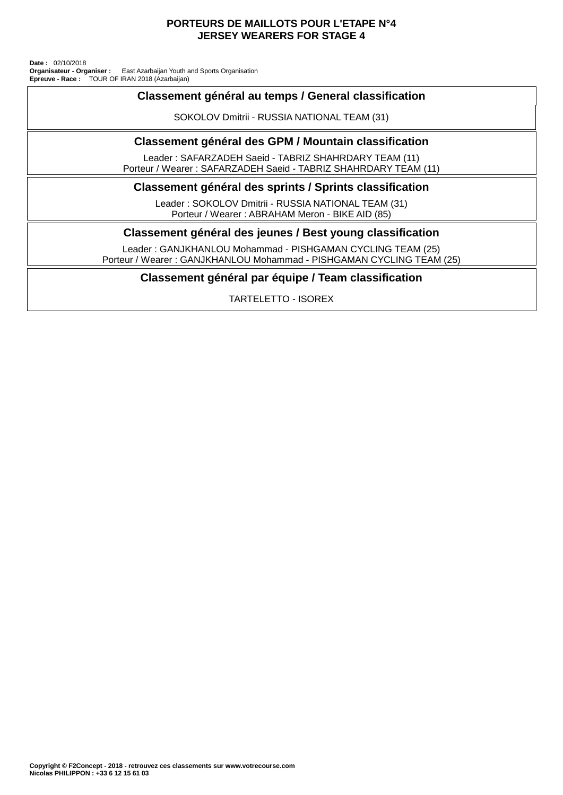## **PORTEURS DE MAILLOTS POUR L'ETAPE N°4 JERSEY WEARERS FOR STAGE 4**

TOUR OF IRAN 2018 (Azarbaijan) East Azarbaijan Youth and Sports Organisation **Date :** 02/10/2018 **Organisateur - Organiser : Epreuve - Race :**

## **Classement général au temps / General classification**

SOKOLOV Dmitrii - RUSSIA NATIONAL TEAM (31)

## **Classement général des GPM / Mountain classification**

Leader : SAFARZADEH Saeid - TABRIZ SHAHRDARY TEAM (11) Porteur / Wearer : SAFARZADEH Saeid - TABRIZ SHAHRDARY TEAM (11)

## **Classement général des sprints / Sprints classification**

Leader : SOKOLOV Dmitrii - RUSSIA NATIONAL TEAM (31) Porteur / Wearer : ABRAHAM Meron - BIKE AID (85)

## **Classement général des jeunes / Best young classification**

Leader : GANJKHANLOU Mohammad - PISHGAMAN CYCLING TEAM (25) Porteur / Wearer : GANJKHANLOU Mohammad - PISHGAMAN CYCLING TEAM (25)

## **Classement général par équipe / Team classification**

TARTELETTO - ISOREX